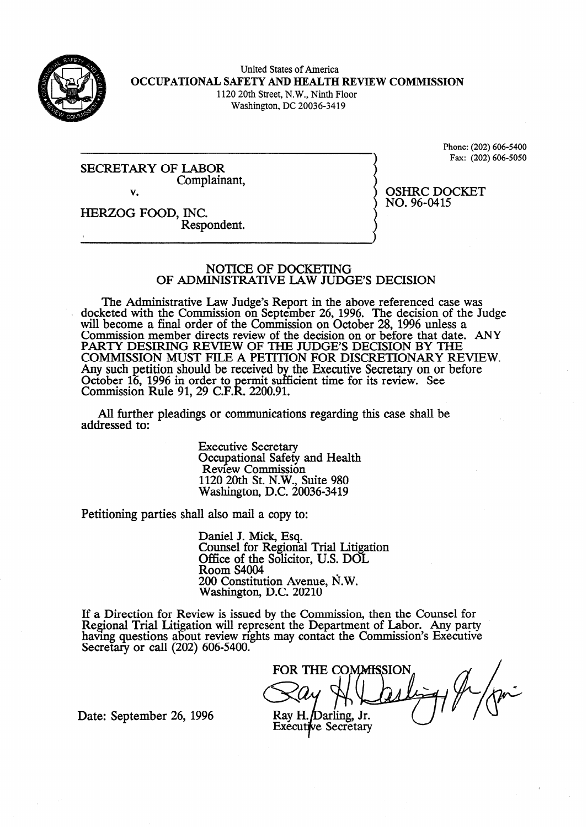

United States of America **OCCUPATIONAL SAFETY AND HEALTH REVIEW COMMISSION**  1120 20th Street, N.W., Ninth Floor

Washington, DC 20036-3419

SECRETARY OF LABOR Complainant, v.

Phone: (202) 606-5400 Fax: (202) 606-5050

OSHRC DOCKET NO. 96-0415

HERZOG FOOD, INC. Respondent.

#### NOTICE OF DOCKETING OF ADMINISTRATIVE LAW JUDGE'S DECISION

The Administrative Law Judge's Report in the above referenced case was docketed with the Commission on September 26, 1996. The decision of the Judge will become a final order of the Commission on October 28, 1996 unless a Commission member directs review of the decision on or before that date. ANY PARTY DESIRING REVIEW OF THE JUDGES DECISION BY THE COMMISSION MUST FILE A PETITION FOR DISCRETIONARY REVIEW. Any such petition should be received b October 16, 1996 in order to permit suffic the Executive Secretary on or before Commissiok Rule 91, 29 C.F.W. 2200.91. cient time for its review. See

All further pleadings or communications regarding this case shall be addressed to:

> Executive Secretary Occupational Safety and Health Review Commission 1120 20th St. N.W., Suite 980 Washington, D.C. 20036-3419

Petitioning parties shall also mail a copy to:

Daniel J. Mick, Esq. Counsel for Regional Trial Litigation Office of the Solicitor, U.S. DOL Room S4004 200 Constitution Avenue, fi.W. Washington, D.C. 20210

If a Direction for Review is issued bv the Commission. then the Counsel for Regional Trial Litigation will represent the Department of Labor. Any party having questions about review rights may contact the Commission's Executive Secretary or call (202) 606-5400.

FOR THE COMMISSION Ray H./Darling, Jr.

Date: September 26, 1996

**Executive Secretary**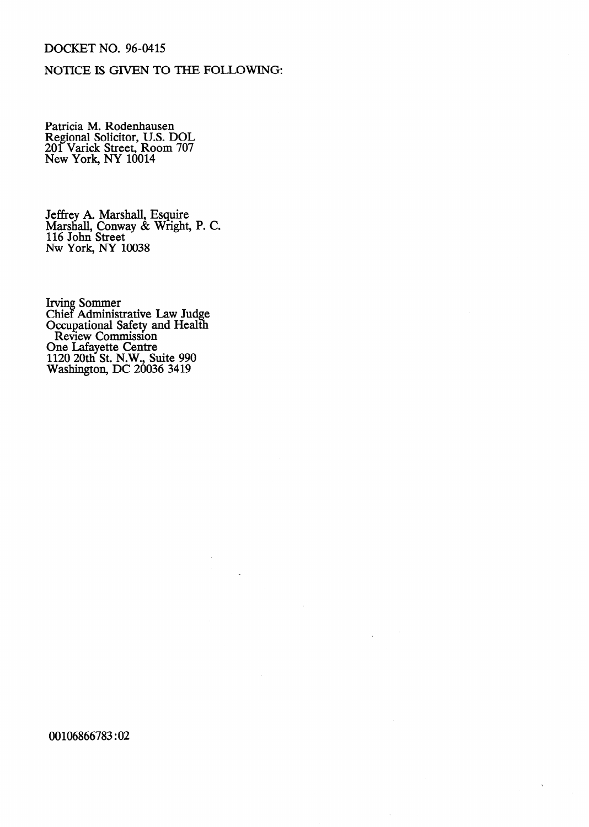# DOCKET NO. 96-0415

### NOTICE IS GIVEN TO THE FOLLOWING:

Patricia M. Rodenhausen Regional Solicitor, U.S. DOL 201 Varick Street, Room 707 New York, NY 10014

Jeffrey A. Marshall, Esquire Marshall, Conway & Wright, P. C. 116 John Street NW York, NY 10038

Irving Sommer Chief Administrative Law Judge Occupational Safety and Health Review Commission One Lafayette Centre 1120 20th St. N.W., Suite 990 Washington, DC 20036 3419

00106866783 :02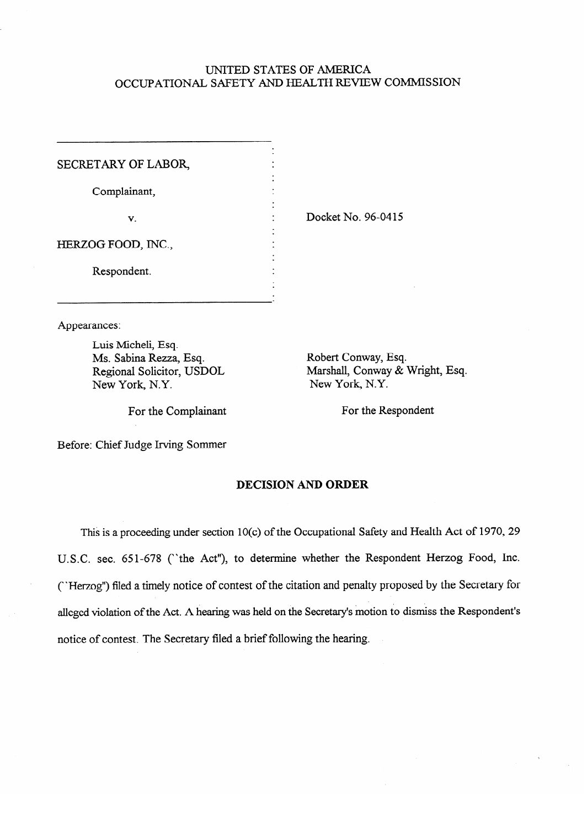## UNITED STATES OF AMERICA OCCUPATIONAL SAFETY AND HEALTH REVIEW COMMISSION

.<br>.

.<br>. **.** 

.

SECRETARY OF LABOR,

Complainant,

 $\mathbf{v}$ .

**.** Docket No. 96-0415

HERZOG FOOD, INC.,

Respondent. Respondent.

Appearances:

Luis Micheli, Esq. Ms. Sabina Rezza, Esq. Regional Solicitor, USDOL New York, N.Y.

Robert Conway, Esq. Marshall, Conway & Wright, Esq. New York, N.Y.

Before: Chief Judge Irving Sommer

### **DECISION AND ORDER**

For the Complainant For the Respondent

This is a proceeding under section 10(c) of the Occupational Safety and Health Act of 1970, 29 U.S.C. sec. 651-678 (''the Act"), to determine whether the Respondent Herzog Food, Inc. ("Herzog") filed a timely notice of contest of the citation and penalty proposed by the Secretary for alleged violation of the Act. A hearing was held on the Secretary's motion to dismiss the Respondent's notice of contest. The Secretary filed a brief following the hearing.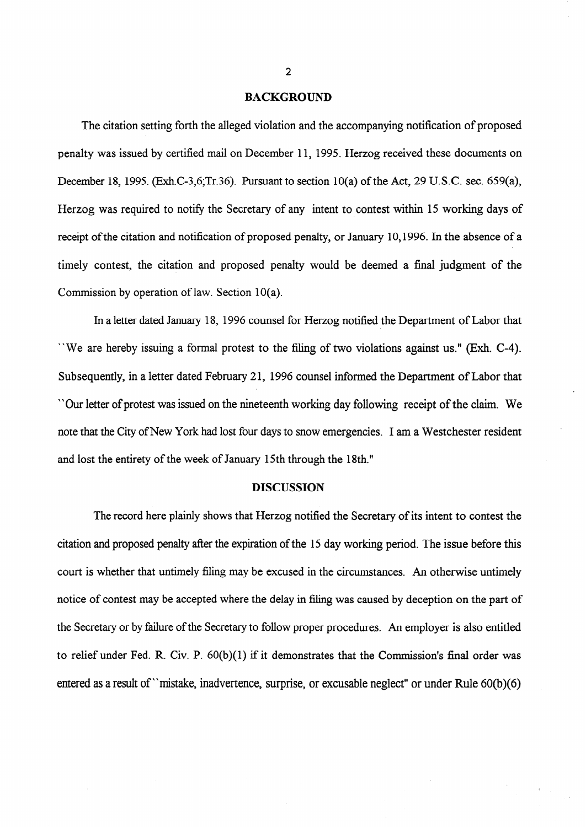#### BACKGROUND

The citation setting forth the alleged violation and the accompanying notification of proposed penalty was issued by certified mail on December 11, 1995. Herzog received these documents on December 18, 1995. (Exh.C-3,6;Tr.36). Pursuant to section  $10(a)$  of the Act, 29 U.S.C. sec. 659(a), Herzog was required to notify the Secretary of any intent to contest within 15 working days of receipt of the citation and notification of proposed penalty, or January 10,1996. In the absence of a timely contest, the citation and proposed penalty would be deemed a final judgment of the Commission by operation of law. Section 10(a).

In a letter dated January 18, 1996 counsel for Herzog notified the Department of Labor that "We are hereby issuing a formal protest to the filing of two violations against us." (Exh. C-4). Subsequently, in a letter dated February 21, 1996 counsel informed the Department of Labor that "Our letter of protest was issued on the nineteenth working day following receipt of the claim. We note that the City of New York had lost four days to snow emergencies. I am a Westchester resident and lost the entirety of the week of January 15th through the 18th."

### **DISCUSSION**

The record here plainly shows that Herzog notified the Secretary of its intent to contest the citation and proposed penalty after the expiration of the 15 day working period. The issue before this court is whether that untimely filing may be excused in the circumstances. An otherwise untimely notice of contest may be accepted where the delay in filing was caused by deception on the part of the Secretary or by failure of the Secretary to follow proper procedures. An employer is also entitled to relief under Fed. R. Civ. P. 60(b)(1) if it demonstrates that the Commission's final order was entered as a result of "mistake, inadvertence, surprise, or excusable neglect" or under Rule 60(b)(6)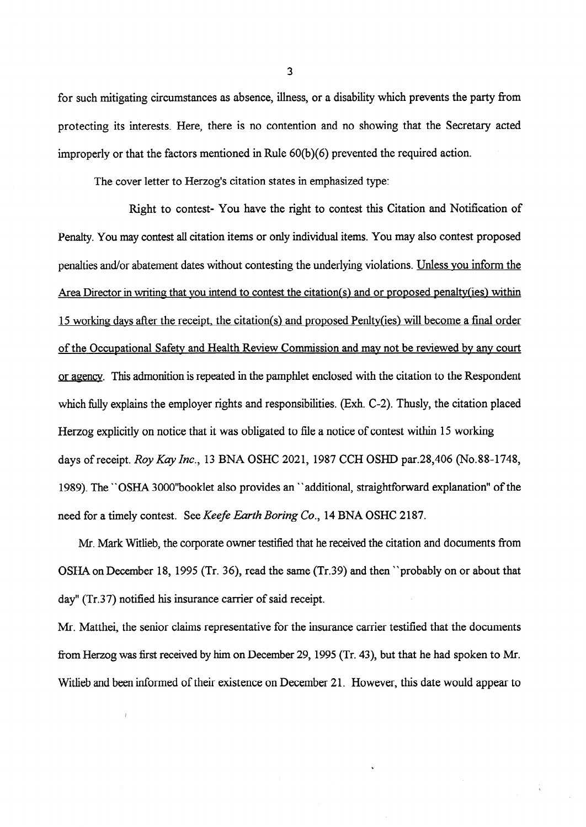for such mitigating circumstances as absence, illness, or a disability which prevents the party from protecting its interests. Here, there is no contention and no showing that the Secretary acted improperly or that the factors mentioned in Rule 60(b)(6) prevented the required action.

The cover letter to Herzog's citation states in emphasized type:

Right to contest- You have the right to contest this Citation and Notification of Penalty. You may contest all citation items or only individual items. You may also contest proposed penalties and/or abatement dates without contesting the underlying violations. Unless you inform the Area Director in writing that you intend to contest the citation(s) and or proposed penalty(ies) within 15 working days after the receipt. the citation(s) and proposed Penltv(ies) will become a final order of the Occupational Safetv and Health Review Commission and mav not be reviewed by any court or agencv. This admonition is repeated in the pamphlet enclosed with the citation to the Respondent which fully explains the employer rights and responsibilities. (Exh. C-2). Thusly, the citation placed Herzog explicitly on notice that it was obligated to file a notice of contest within 15 working days of receipt. Roy Kay Inc., 13 BNA OSHC 2021, 1987 CCH OSHD par.28,406 (No.88-1748, 1989). The "OSHA 3000"booklet also provides an "additional, straightforward explanation" of the need for a timely contest. See Keefe Earth *Boring Co.,* 14 BNA OSHC 2187.

Mr. Mark Witlieb, the corporate owner testified that he received the citation and documents from OSHA on December 18, 1995 (Tr. 36), read the same (Tr.39) and then "probably on or about that day" (Tr.37) notified his insurance carrier of said receipt.

Mr. Matthei, the senior claims representative for the insurance carrier testified that the documents from Herzog was first received by him on December 29,1995 (Tr. 43), but that he had spoken to Mr. Witlieb and been informed of their existence on December 21. However, this date would appear to

3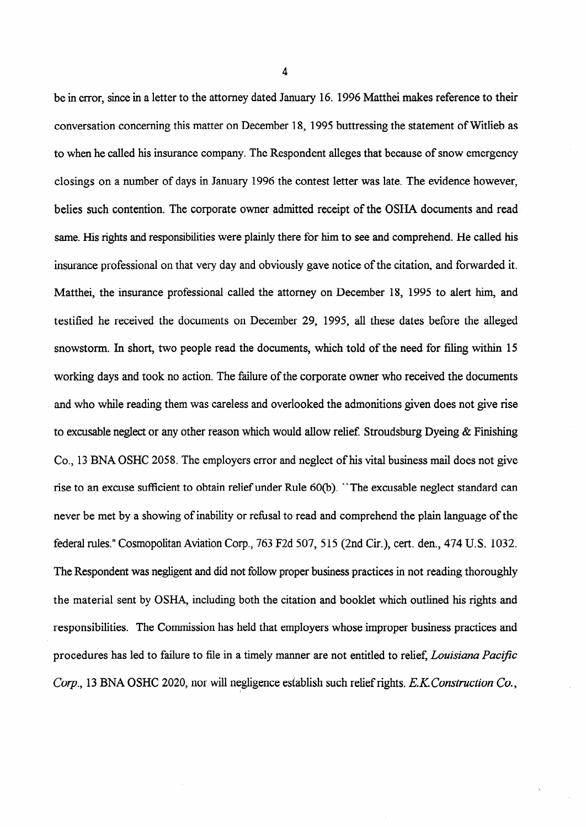be in error, since in a letter to the attorney dated January 16. 1996 Matthei makes reference to their conversation concerning this matter on December 18, 1995 buttressing the statement of Witlieb as to when he called his insurance company. The Respondent alleges that because of snow emergency closings on a number of days in January 1996 the contest letter was late. The evidence however, belies such contention. The corporate owner admitted receipt of the OSHA documents and read same. His rights and responsibilities were plainly there for him to see and comprehend. He called his insurance professional on that very day and obviously gave notice of the citation, and forwarded it. Matthei, the insurance professional called the attorney on December 18, 1995 to alert him., and testified he received the documents on December 29, 1995, all these dates before the alleged snowstorm. In short, two people read the documents, which told of the need for filing within 15 working days and took no action. The failure of the corporate owner who received the documents and who while reading them was careless and overlooked the admonitions given does not give rise to excusable neglect or any other reason which would allow relief. Stroudsburg Dyeing  $\&$  Finishing Co., 13 BNA OSHC 2058. The employers error and neglect of his vital business mail does not give rise to an excuse sufficient to obtain relief under Rule 60(b). "The excusable neglect standard can never be met by a showing of inability or refusal to read and comprehend the plain language of the federal rules." Cosmopolitan Aviation Corp., 763 F2d 507, 5 15 (2nd Cir.), cert. den., 474 U.S. 1032. The Respondent was negligent and did not follow proper business practices in not reading thoroughly the material sent by OSHA, including both the citation and booklet which outlined his rights and responsibilities. The Commission has held that employers whose improper business practices and procedures has led to failure to file in a timely manner are not entitled to relief, *Louisiana Pacific* Corp., 13 BNA OSHC 2020, nor will negligence establish such relief rights. E.K. Construction Co.,